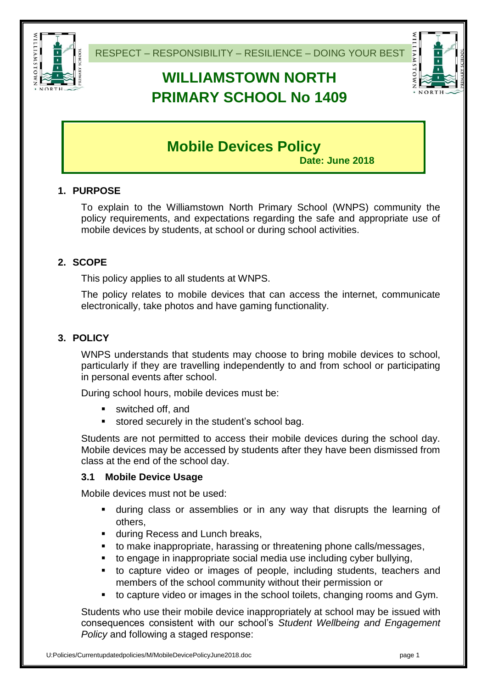

# **WILLIAMSTOWN NORTH PRIMARY SCHOOL No 1409**



# **Mobile Devices Policy**

**Date: June 2018**

### **1. PURPOSE**

To explain to the Williamstown North Primary School (WNPS) community the policy requirements, and expectations regarding the safe and appropriate use of mobile devices by students, at school or during school activities.

### **2. SCOPE**

This policy applies to all students at WNPS.

The policy relates to mobile devices that can access the internet, communicate electronically, take photos and have gaming functionality.

### **3. POLICY**

WNPS understands that students may choose to bring mobile devices to school, particularly if they are travelling independently to and from school or participating in personal events after school.

During school hours, mobile devices must be:

- switched off, and
- **stored securely in the student's school bag.**

Students are not permitted to access their mobile devices during the school day. Mobile devices may be accessed by students after they have been dismissed from class at the end of the school day.

#### **3.1 Mobile Device Usage**

Mobile devices must not be used:

- during class or assemblies or in any way that disrupts the learning of others,
- **during Recess and Lunch breaks,**
- to make inappropriate, harassing or threatening phone calls/messages,
- to engage in inappropriate social media use including cyber bullying,
- to capture video or images of people, including students, teachers and members of the school community without their permission or
- to capture video or images in the school toilets, changing rooms and Gym.

Students who use their mobile device inappropriately at school may be issued with consequences consistent with our school's *Student Wellbeing and Engagement Policy* and following a staged response: